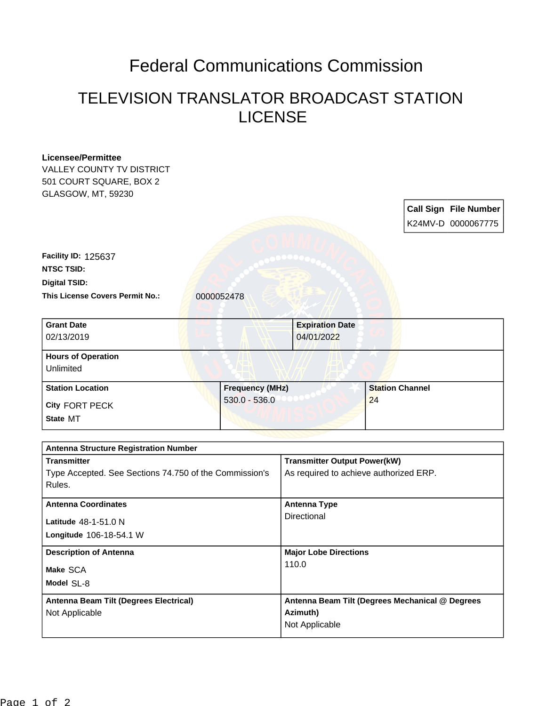## Federal Communications Commission

## TELEVISION TRANSLATOR BROADCAST STATION LICENSE

| <b>Licensee/Permittee</b><br>VALLEY COUNTY TV DISTRICT |                        |                                                 |                        |  |                              |
|--------------------------------------------------------|------------------------|-------------------------------------------------|------------------------|--|------------------------------|
| 501 COURT SQUARE, BOX 2                                |                        |                                                 |                        |  |                              |
| GLASGOW, MT, 59230                                     |                        |                                                 |                        |  |                              |
|                                                        |                        |                                                 |                        |  | <b>Call Sign File Number</b> |
|                                                        |                        |                                                 |                        |  | K24MV-D 0000067775           |
| <b>Facility ID: 125637</b>                             |                        |                                                 |                        |  |                              |
| <b>NTSC TSID:</b>                                      |                        |                                                 |                        |  |                              |
| <b>Digital TSID:</b>                                   |                        |                                                 |                        |  |                              |
| This License Covers Permit No.:                        | 0000052478             |                                                 |                        |  |                              |
|                                                        |                        |                                                 |                        |  |                              |
| <b>Grant Date</b>                                      |                        | <b>Expiration Date</b>                          |                        |  |                              |
| 02/13/2019                                             |                        | 04/01/2022                                      |                        |  |                              |
| <b>Hours of Operation</b>                              |                        |                                                 |                        |  |                              |
| Unlimited                                              |                        |                                                 |                        |  |                              |
| <b>Station Location</b>                                | <b>Frequency (MHz)</b> |                                                 | <b>Station Channel</b> |  |                              |
| <b>City FORT PECK</b>                                  | $530.0 - 536.0$        |                                                 | 24                     |  |                              |
| State MT                                               |                        |                                                 |                        |  |                              |
|                                                        |                        |                                                 |                        |  |                              |
| <b>Antenna Structure Registration Number</b>           |                        |                                                 |                        |  |                              |
| <b>Transmitter</b>                                     |                        | <b>Transmitter Output Power(kW)</b>             |                        |  |                              |
| Type Accepted. See Sections 74.750 of the Commission's |                        | As required to achieve authorized ERP.          |                        |  |                              |
| Rules.                                                 |                        |                                                 |                        |  |                              |
| <b>Antenna Coordinates</b>                             |                        | <b>Antenna Type</b>                             |                        |  |                              |
| Latitude 48-1-51.0 N                                   |                        | <b>Directional</b>                              |                        |  |                              |
| Longitude 106-18-54.1 W                                |                        |                                                 |                        |  |                              |
|                                                        |                        | <b>Major Lobe Directions</b>                    |                        |  |                              |
| <b>Description of Antenna</b>                          |                        | 110.0                                           |                        |  |                              |
| Make SCA                                               |                        |                                                 |                        |  |                              |
| Model SL-8                                             |                        |                                                 |                        |  |                              |
| Antenna Beam Tilt (Degrees Electrical)                 |                        | Antenna Beam Tilt (Degrees Mechanical @ Degrees |                        |  |                              |
| Not Applicable                                         |                        | Azimuth)                                        |                        |  |                              |
|                                                        |                        | Not Applicable                                  |                        |  |                              |